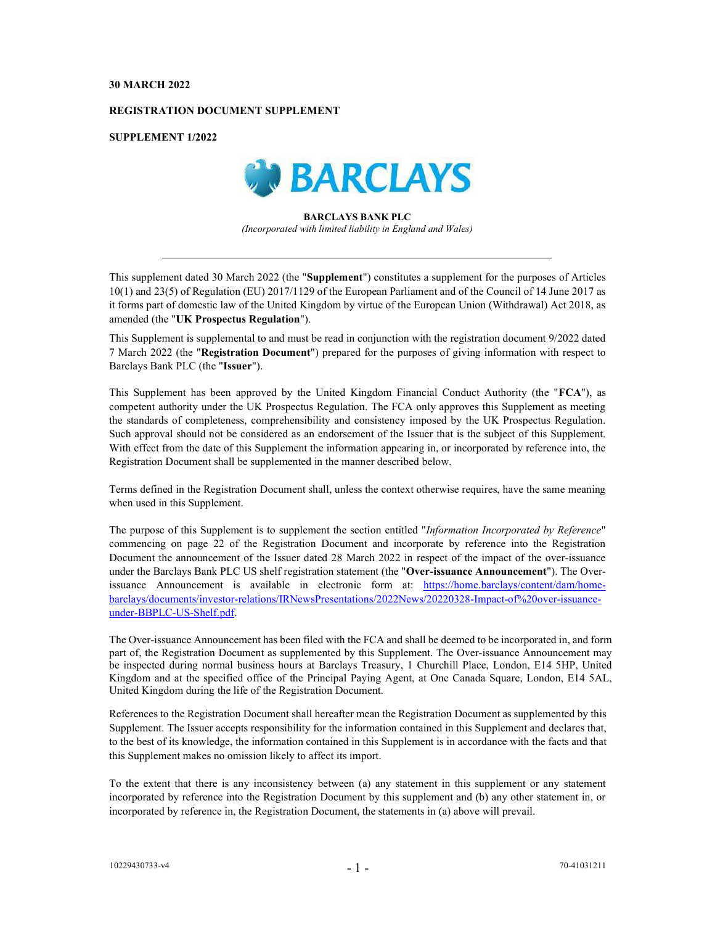## 30 MARCH 2022

## REGISTRATION DOCUMENT SUPPLEMENT

SUPPLEMENT 1/2022



## BARCLAYS BANK PLC (Incorporated with limited liability in England and Wales)

This supplement dated 30 March 2022 (the "Supplement") constitutes a supplement for the purposes of Articles 10(1) and 23(5) of Regulation (EU) 2017/1129 of the European Parliament and of the Council of 14 June 2017 as it forms part of domestic law of the United Kingdom by virtue of the European Union (Withdrawal) Act 2018, as amended (the "UK Prospectus Regulation").

This Supplement is supplemental to and must be read in conjunction with the registration document 9/2022 dated 7 March 2022 (the "Registration Document") prepared for the purposes of giving information with respect to Barclays Bank PLC (the "Issuer").

This Supplement has been approved by the United Kingdom Financial Conduct Authority (the "FCA"), as competent authority under the UK Prospectus Regulation. The FCA only approves this Supplement as meeting the standards of completeness, comprehensibility and consistency imposed by the UK Prospectus Regulation. Such approval should not be considered as an endorsement of the Issuer that is the subject of this Supplement. With effect from the date of this Supplement the information appearing in, or incorporated by reference into, the Registration Document shall be supplemented in the manner described below.

Terms defined in the Registration Document shall, unless the context otherwise requires, have the same meaning when used in this Supplement.

The purpose of this Supplement is to supplement the section entitled "Information Incorporated by Reference" commencing on page 22 of the Registration Document and incorporate by reference into the Registration Document the announcement of the Issuer dated 28 March 2022 in respect of the impact of the over-issuance under the Barclays Bank PLC US shelf registration statement (the "Over-issuance Announcement"). The Overissuance Announcement is available in electronic form at: https://home.barclays/content/dam/homebarclays/documents/investor-relations/IRNewsPresentations/2022News/20220328-Impact-of%20over-issuanceunder-BBPLC-US-Shelf.pdf.

The Over-issuance Announcement has been filed with the FCA and shall be deemed to be incorporated in, and form part of, the Registration Document as supplemented by this Supplement. The Over-issuance Announcement may be inspected during normal business hours at Barclays Treasury, 1 Churchill Place, London, E14 5HP, United Kingdom and at the specified office of the Principal Paying Agent, at One Canada Square, London, E14 5AL, United Kingdom during the life of the Registration Document.

References to the Registration Document shall hereafter mean the Registration Document as supplemented by this Supplement. The Issuer accepts responsibility for the information contained in this Supplement and declares that, to the best of its knowledge, the information contained in this Supplement is in accordance with the facts and that this Supplement makes no omission likely to affect its import.

To the extent that there is any inconsistency between (a) any statement in this supplement or any statement incorporated by reference into the Registration Document by this supplement and (b) any other statement in, or incorporated by reference in, the Registration Document, the statements in (a) above will prevail.